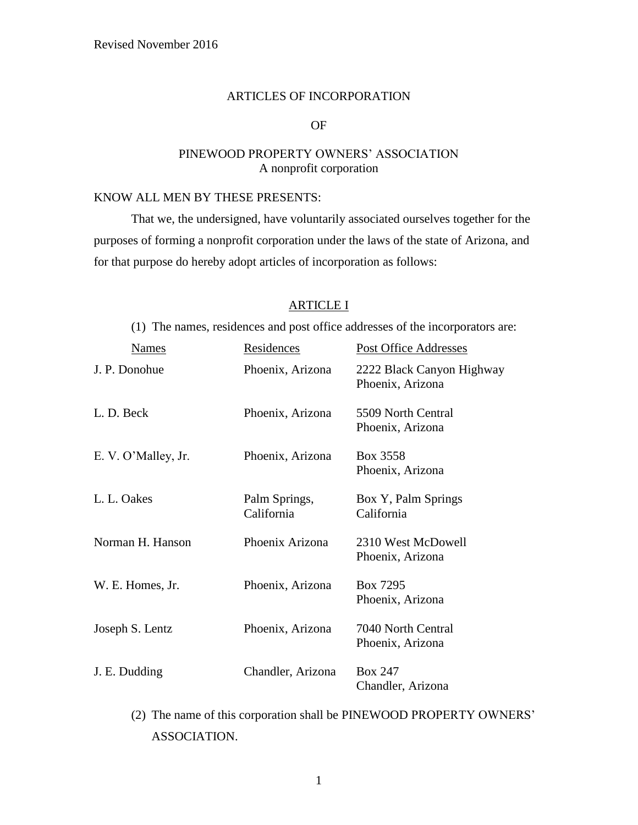#### ARTICLES OF INCORPORATION

# OF

# PINEWOOD PROPERTY OWNERS' ASSOCIATION A nonprofit corporation

# KNOW ALL MEN BY THESE PRESENTS:

That we, the undersigned, have voluntarily associated ourselves together for the purposes of forming a nonprofit corporation under the laws of the state of Arizona, and for that purpose do hereby adopt articles of incorporation as follows:

# ARTICLE I

(1) The names, residences and post office addresses of the incorporators are:

| <b>Names</b>        | Residences                  | <b>Post Office Addresses</b>                  |
|---------------------|-----------------------------|-----------------------------------------------|
| J. P. Donohue       | Phoenix, Arizona            | 2222 Black Canyon Highway<br>Phoenix, Arizona |
| L. D. Beck          | Phoenix, Arizona            | 5509 North Central<br>Phoenix, Arizona        |
| E. V. O'Malley, Jr. | Phoenix, Arizona            | Box 3558<br>Phoenix, Arizona                  |
| L. L. Oakes         | Palm Springs,<br>California | Box Y, Palm Springs<br>California             |
| Norman H. Hanson    | Phoenix Arizona             | 2310 West McDowell<br>Phoenix, Arizona        |
| W. E. Homes, Jr.    | Phoenix, Arizona            | Box 7295<br>Phoenix, Arizona                  |
| Joseph S. Lentz     | Phoenix, Arizona            | 7040 North Central<br>Phoenix, Arizona        |
| J. E. Dudding       | Chandler, Arizona           | <b>Box 247</b><br>Chandler, Arizona           |

(2) The name of this corporation shall be PINEWOOD PROPERTY OWNERS' ASSOCIATION.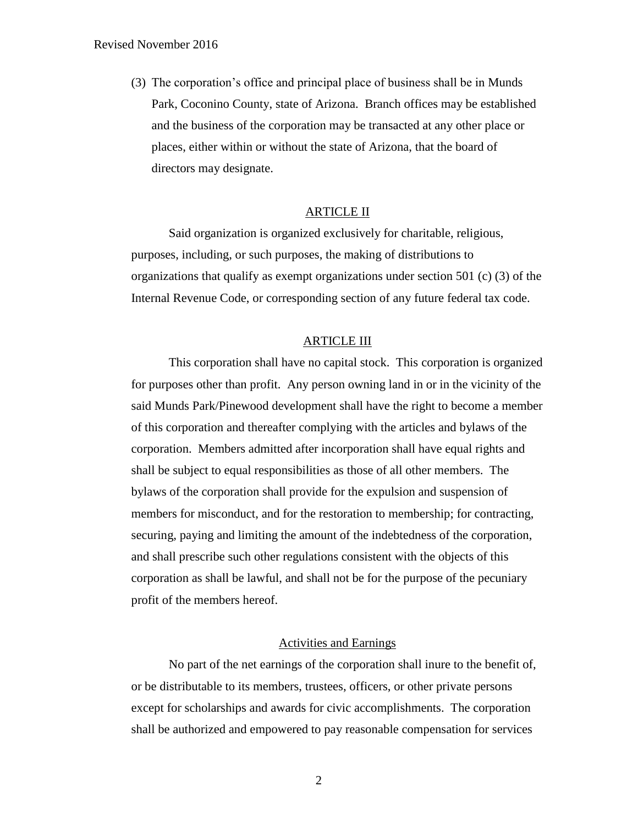(3) The corporation's office and principal place of business shall be in Munds Park, Coconino County, state of Arizona. Branch offices may be established and the business of the corporation may be transacted at any other place or places, either within or without the state of Arizona, that the board of directors may designate.

# ARTICLE II

Said organization is organized exclusively for charitable, religious, purposes, including, or such purposes, the making of distributions to organizations that qualify as exempt organizations under section 501 (c) (3) of the Internal Revenue Code, or corresponding section of any future federal tax code.

#### ARTICLE III

This corporation shall have no capital stock. This corporation is organized for purposes other than profit. Any person owning land in or in the vicinity of the said Munds Park/Pinewood development shall have the right to become a member of this corporation and thereafter complying with the articles and bylaws of the corporation. Members admitted after incorporation shall have equal rights and shall be subject to equal responsibilities as those of all other members. The bylaws of the corporation shall provide for the expulsion and suspension of members for misconduct, and for the restoration to membership; for contracting, securing, paying and limiting the amount of the indebtedness of the corporation, and shall prescribe such other regulations consistent with the objects of this corporation as shall be lawful, and shall not be for the purpose of the pecuniary profit of the members hereof.

# Activities and Earnings

No part of the net earnings of the corporation shall inure to the benefit of, or be distributable to its members, trustees, officers, or other private persons except for scholarships and awards for civic accomplishments. The corporation shall be authorized and empowered to pay reasonable compensation for services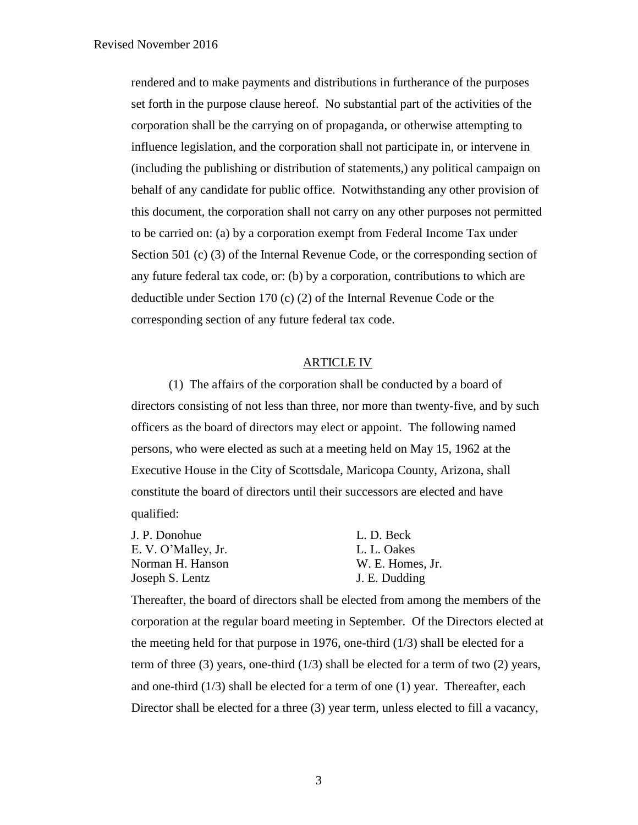rendered and to make payments and distributions in furtherance of the purposes set forth in the purpose clause hereof. No substantial part of the activities of the corporation shall be the carrying on of propaganda, or otherwise attempting to influence legislation, and the corporation shall not participate in, or intervene in (including the publishing or distribution of statements,) any political campaign on behalf of any candidate for public office. Notwithstanding any other provision of this document, the corporation shall not carry on any other purposes not permitted to be carried on: (a) by a corporation exempt from Federal Income Tax under Section 501 (c) (3) of the Internal Revenue Code, or the corresponding section of any future federal tax code, or: (b) by a corporation, contributions to which are deductible under Section 170 (c) (2) of the Internal Revenue Code or the corresponding section of any future federal tax code.

# ARTICLE IV

(1) The affairs of the corporation shall be conducted by a board of directors consisting of not less than three, nor more than twenty-five, and by such officers as the board of directors may elect or appoint. The following named persons, who were elected as such at a meeting held on May 15, 1962 at the Executive House in the City of Scottsdale, Maricopa County, Arizona, shall constitute the board of directors until their successors are elected and have qualified:

| J. P. Donohue       | L. D. Beck       |
|---------------------|------------------|
| E. V. O'Malley, Jr. | L. L. Oakes      |
| Norman H. Hanson    | W. E. Homes, Jr. |
| Joseph S. Lentz     | J. E. Dudding    |

Thereafter, the board of directors shall be elected from among the members of the corporation at the regular board meeting in September. Of the Directors elected at the meeting held for that purpose in 1976, one-third  $(1/3)$  shall be elected for a term of three (3) years, one-third (1/3) shall be elected for a term of two (2) years, and one-third  $(1/3)$  shall be elected for a term of one  $(1)$  year. Thereafter, each Director shall be elected for a three (3) year term, unless elected to fill a vacancy,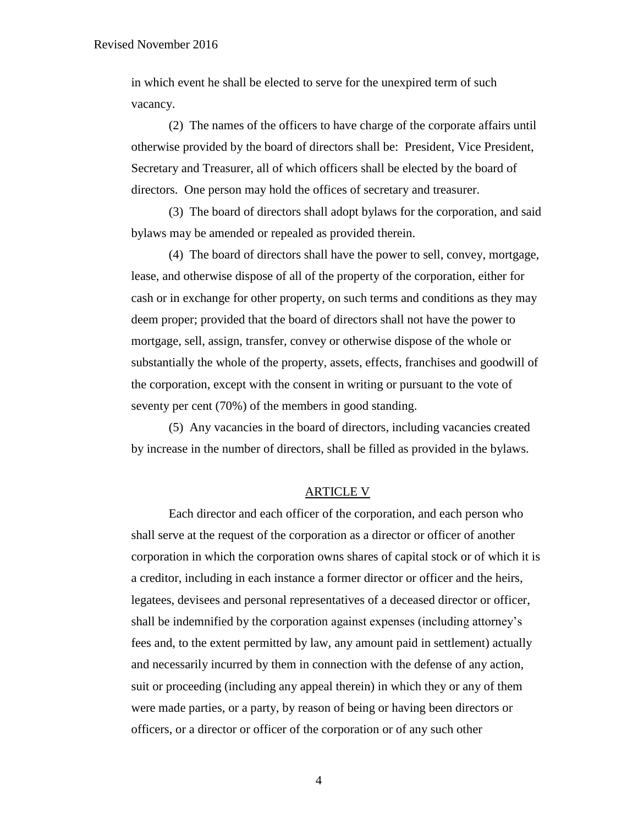in which event he shall be elected to serve for the unexpired term of such vacancy.

(2) The names of the officers to have charge of the corporate affairs until otherwise provided by the board of directors shall be: President, Vice President, Secretary and Treasurer, all of which officers shall be elected by the board of directors. One person may hold the offices of secretary and treasurer.

(3) The board of directors shall adopt bylaws for the corporation, and said bylaws may be amended or repealed as provided therein.

(4) The board of directors shall have the power to sell, convey, mortgage, lease, and otherwise dispose of all of the property of the corporation, either for cash or in exchange for other property, on such terms and conditions as they may deem proper; provided that the board of directors shall not have the power to mortgage, sell, assign, transfer, convey or otherwise dispose of the whole or substantially the whole of the property, assets, effects, franchises and goodwill of the corporation, except with the consent in writing or pursuant to the vote of seventy per cent (70%) of the members in good standing.

(5) Any vacancies in the board of directors, including vacancies created by increase in the number of directors, shall be filled as provided in the bylaws.

### ARTICLE V

Each director and each officer of the corporation, and each person who shall serve at the request of the corporation as a director or officer of another corporation in which the corporation owns shares of capital stock or of which it is a creditor, including in each instance a former director or officer and the heirs, legatees, devisees and personal representatives of a deceased director or officer, shall be indemnified by the corporation against expenses (including attorney's fees and, to the extent permitted by law, any amount paid in settlement) actually and necessarily incurred by them in connection with the defense of any action, suit or proceeding (including any appeal therein) in which they or any of them were made parties, or a party, by reason of being or having been directors or officers, or a director or officer of the corporation or of any such other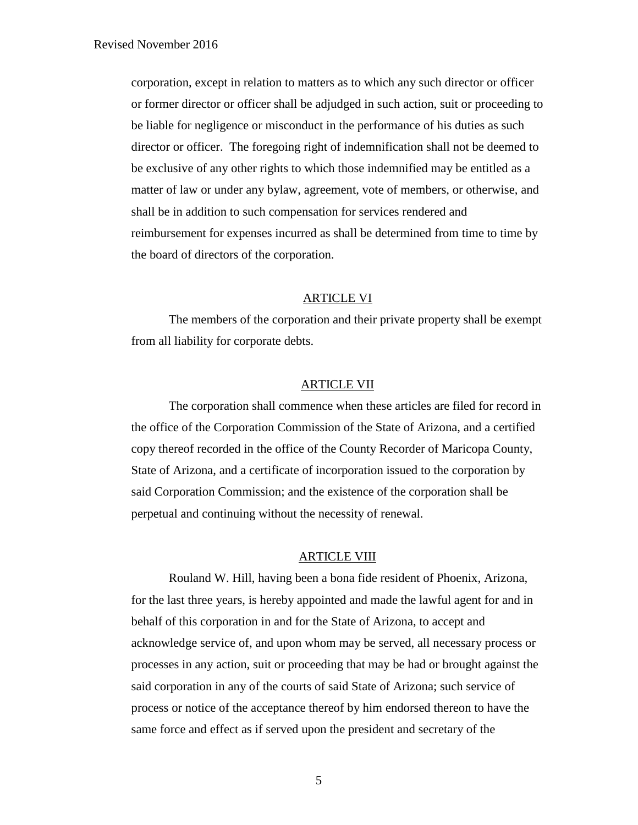corporation, except in relation to matters as to which any such director or officer or former director or officer shall be adjudged in such action, suit or proceeding to be liable for negligence or misconduct in the performance of his duties as such director or officer. The foregoing right of indemnification shall not be deemed to be exclusive of any other rights to which those indemnified may be entitled as a matter of law or under any bylaw, agreement, vote of members, or otherwise, and shall be in addition to such compensation for services rendered and reimbursement for expenses incurred as shall be determined from time to time by the board of directors of the corporation.

## ARTICLE VI

The members of the corporation and their private property shall be exempt from all liability for corporate debts.

### ARTICLE VII

The corporation shall commence when these articles are filed for record in the office of the Corporation Commission of the State of Arizona, and a certified copy thereof recorded in the office of the County Recorder of Maricopa County, State of Arizona, and a certificate of incorporation issued to the corporation by said Corporation Commission; and the existence of the corporation shall be perpetual and continuing without the necessity of renewal.

# ARTICLE VIII

Rouland W. Hill, having been a bona fide resident of Phoenix, Arizona, for the last three years, is hereby appointed and made the lawful agent for and in behalf of this corporation in and for the State of Arizona, to accept and acknowledge service of, and upon whom may be served, all necessary process or processes in any action, suit or proceeding that may be had or brought against the said corporation in any of the courts of said State of Arizona; such service of process or notice of the acceptance thereof by him endorsed thereon to have the same force and effect as if served upon the president and secretary of the